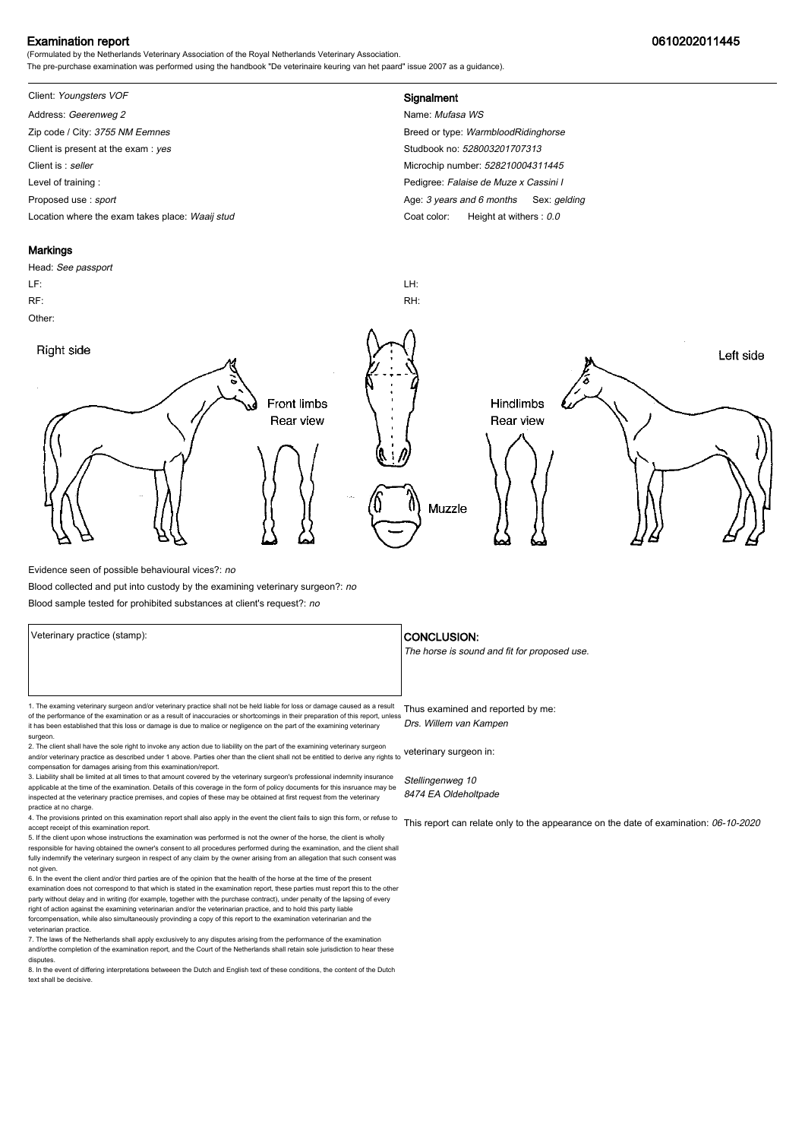### Examination report 0610202011445

(Formulated by the Netherlands Veterinary Association of the Royal Netherlands Veterinary Association. The pre-purchase examination was performed using the handbook "De veterinaire keuring van het paard" issue 2007 as a guidance).

# Client: Youngsters VOF **Signalment**

Address: Geerenweg 2 Name: Mufasa WS Zip code / City: 3755 NM Eemnes Breed or type: WarmbloodRidinghorse Client is present at the exam : yes Studbook no: 528003201707313 Client is : seller Microchip number: 528210004311445 Level of training : Pedigree: Falaise de Muze x Cassini I Proposed use : sport **Age: 3** years and 6 months Sex: gelding Location where the exam takes place: Waaij stud Coat Color: Height at withers : 0.0

#### **Markings**

Head: See passport LF: LH: RF: RH: Other: Right side Left side **Front limbs** Hindlimbs Rear view Rear view Muzzle

Evidence seen of possible behavioural vices?: no

Blood collected and put into custody by the examining veterinary surgeon?: no

Blood sample tested for prohibited substances at client's request?: no

1. The examing veterinary surgeon and/or veterinary practice shall not be held liable for loss or damage caused as a result Thus examined and reported by me: of the performance of the examination or as a result of inaccuracies or shortcomings in their preparation of this report, unless it has been established that this loss or damage is due to malice or negligence on the part of the examining veterinary surgeon.

2. The client shall have the sole right to invoke any action due to liability on the part of the examining veterinary surgeon and/or veterinary practice as described under 1 above. Parties oher than the client shall not be entitled to derive any rights to veterinary surgeon in: compensation for damages arising from this examination/report.

3. Liability shall be limited at all times to that amount covered by the veterinary surgeon's professional indemnity insurance applicable at the time of the examination. Details of this coverage in the form of policy documents for this insruance may be inspected at the veterinary practice premises, and copies of these may be obtained at first request from the veterinary practice at no charge.

4. The provisions printed on this examination report shall also apply in the event the client fails to sign this form, or refuse to accept receipt of this examination report.

5. If the client upon whose instructions the examination was performed is not the owner of the horse, the client is wholly responsible for having obtained the owner's consent to all procedures performed during the examination, and the client shall fully indemnify the veterinary surgeon in respect of any claim by the owner arising from an allegation that such consent was not given.

6. In the event the client and/or third parties are of the opinion that the health of the horse at the time of the present examination does not correspond to that which is stated in the examination report, these parties must report this to the other party without delay and in writing (for example, together with the purchase contract), under penalty of the lapsing of every<br>right of action against the examining veterinarian and/or the veterinarian practice, and to hold forcompensation, while also simultaneously provinding a copy of this report to the examination veterinarian and th veterinarian practice.

7. The laws of the Netherlands shall apply exclusively to any disputes arising from the performance of the examination and/orthe completion of the examination report, and the Court of the Netherlands shall retain sole jurisdiction to hear these disputes.

8. In the event of differing interpretations betweeen the Dutch and English text of these conditions, the content of the Dutch text shall be decisive.

#### Veterinary practice (stamp):  $\overline{\phantom{a}}$  CONCLUSION:

The horse is sound and fit for proposed use.

Drs. Willem van Kampen

Stellingenweg 10 8474 EA Oldeholtpade

This report can relate only to the appearance on the date of examination: 06-10-2020